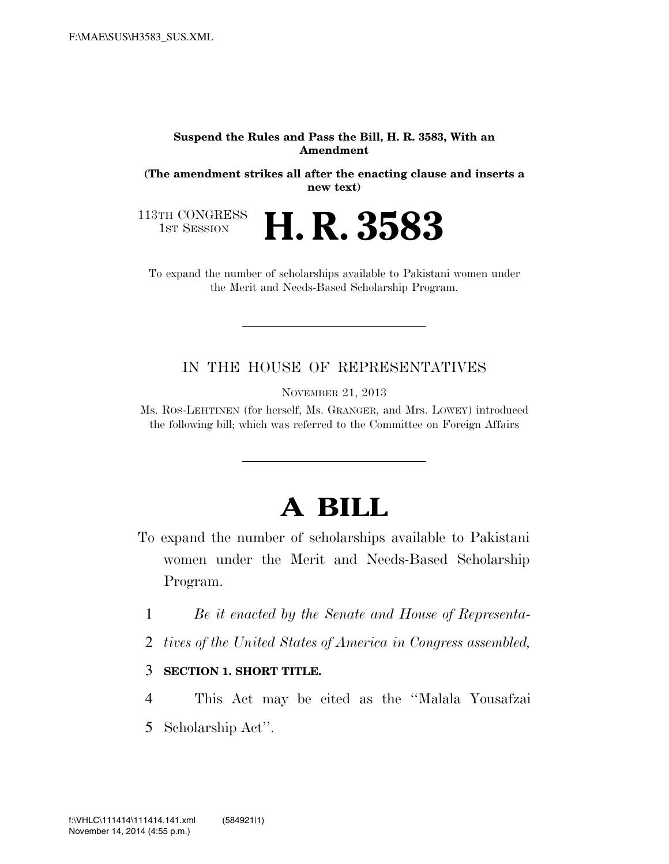#### **Suspend the Rules and Pass the Bill, H. R. 3583, With an Amendment**

**(The amendment strikes all after the enacting clause and inserts a new text)** 

113TH CONGRESS<br>1st Session

H. R. 3583

To expand the number of scholarships available to Pakistani women under the Merit and Needs-Based Scholarship Program.

### IN THE HOUSE OF REPRESENTATIVES

NOVEMBER 21, 2013

Ms. ROS-LEHTINEN (for herself, Ms. GRANGER, and Mrs. LOWEY) introduced the following bill; which was referred to the Committee on Foreign Affairs

# **A BILL**

- To expand the number of scholarships available to Pakistani women under the Merit and Needs-Based Scholarship Program.
	- 1 *Be it enacted by the Senate and House of Representa-*
	- 2 *tives of the United States of America in Congress assembled,*

3 **SECTION 1. SHORT TITLE.** 

4 This Act may be cited as the ''Malala Yousafzai 5 Scholarship Act''.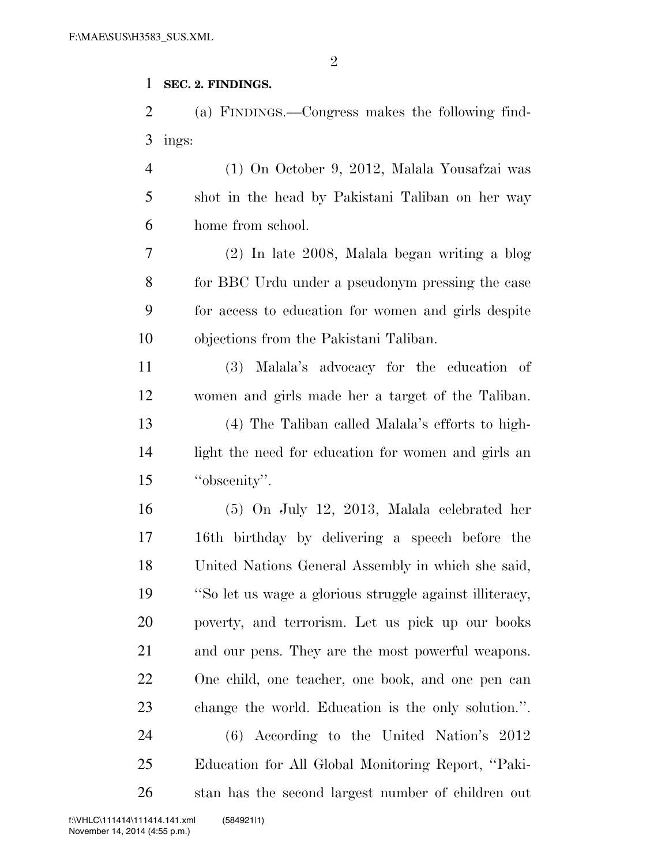#### **SEC. 2. FINDINGS.**

 (a) FINDINGS.—Congress makes the following find-ings:

 (1) On October 9, 2012, Malala Yousafzai was shot in the head by Pakistani Taliban on her way home from school.

 (2) In late 2008, Malala began writing a blog for BBC Urdu under a pseudonym pressing the case for access to education for women and girls despite objections from the Pakistani Taliban.

 (3) Malala's advocacy for the education of women and girls made her a target of the Taliban. (4) The Taliban called Malala's efforts to high- light the need for education for women and girls an ''obscenity''.

 (5) On July 12, 2013, Malala celebrated her 16th birthday by delivering a speech before the United Nations General Assembly in which she said, ''So let us wage a glorious struggle against illiteracy, poverty, and terrorism. Let us pick up our books and our pens. They are the most powerful weapons. One child, one teacher, one book, and one pen can change the world. Education is the only solution.''. (6) According to the United Nation's 2012 Education for All Global Monitoring Report, ''Paki-stan has the second largest number of children out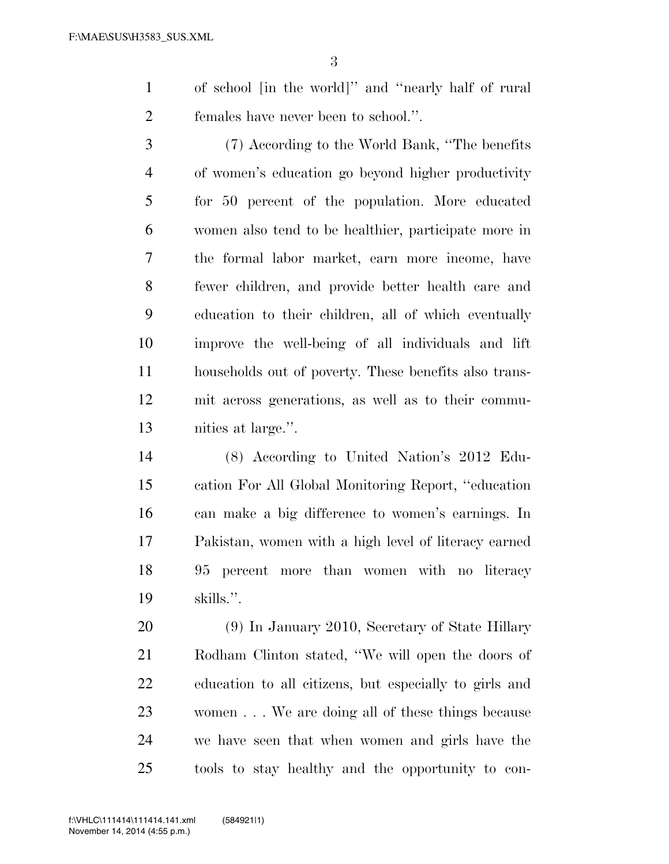of school [in the world]'' and ''nearly half of rural females have never been to school.''.

 (7) According to the World Bank, ''The benefits of women's education go beyond higher productivity for 50 percent of the population. More educated women also tend to be healthier, participate more in the formal labor market, earn more income, have fewer children, and provide better health care and education to their children, all of which eventually improve the well-being of all individuals and lift households out of poverty. These benefits also trans- mit across generations, as well as to their commu-nities at large.''.

 (8) According to United Nation's 2012 Edu- cation For All Global Monitoring Report, ''education can make a big difference to women's earnings. In Pakistan, women with a high level of literacy earned 95 percent more than women with no literacy skills.''.

 (9) In January 2010, Secretary of State Hillary Rodham Clinton stated, ''We will open the doors of education to all citizens, but especially to girls and women . . . We are doing all of these things because we have seen that when women and girls have the tools to stay healthy and the opportunity to con-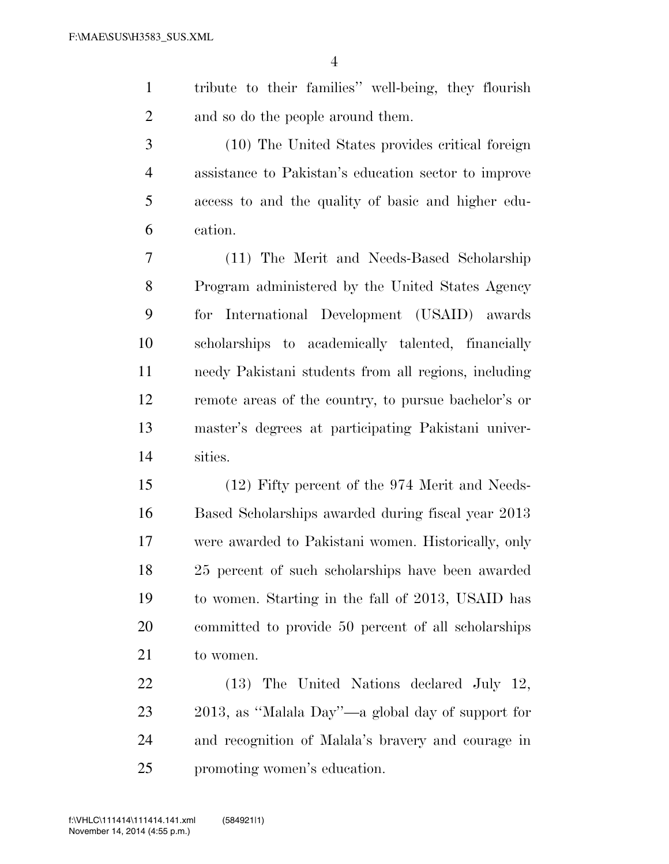tribute to their families'' well-being, they flourish 2 and so do the people around them.

 (10) The United States provides critical foreign assistance to Pakistan's education sector to improve access to and the quality of basic and higher edu-cation.

 (11) The Merit and Needs-Based Scholarship Program administered by the United States Agency for International Development (USAID) awards scholarships to academically talented, financially needy Pakistani students from all regions, including remote areas of the country, to pursue bachelor's or master's degrees at participating Pakistani univer-sities.

 (12) Fifty percent of the 974 Merit and Needs- Based Scholarships awarded during fiscal year 2013 were awarded to Pakistani women. Historically, only 25 percent of such scholarships have been awarded to women. Starting in the fall of 2013, USAID has committed to provide 50 percent of all scholarships to women.

 (13) The United Nations declared July 12, 2013, as ''Malala Day''—a global day of support for and recognition of Malala's bravery and courage in promoting women's education.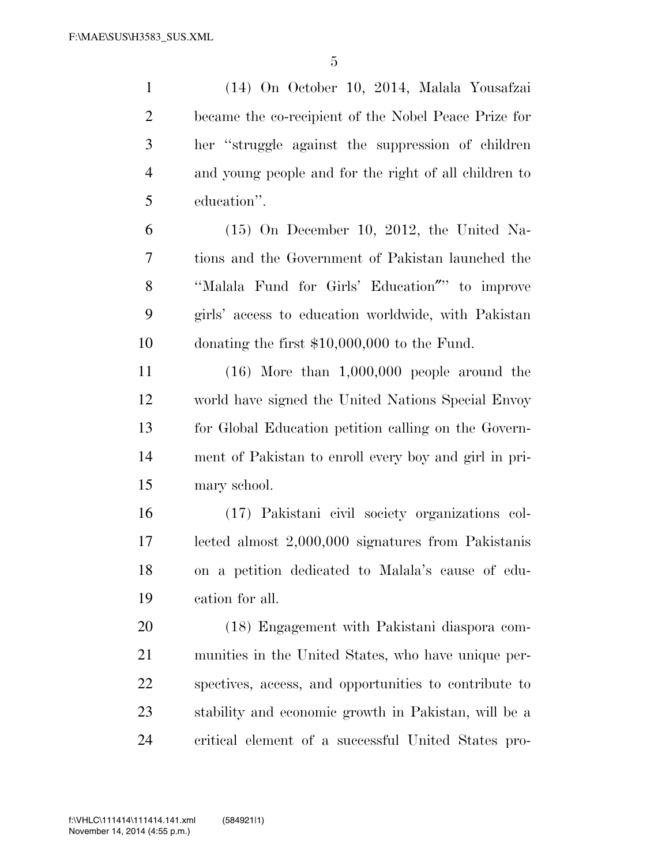(14) On October 10, 2014, Malala Yousafzai became the co-recipient of the Nobel Peace Prize for her ''struggle against the suppression of children and young people and for the right of all children to education''.

 (15) On December 10, 2012, the United Na- tions and the Government of Pakistan launched the ''Malala Fund for Girls' Education″'' to improve girls' access to education worldwide, with Pakistan donating the first \$10,000,000 to the Fund.

 (16) More than 1,000,000 people around the world have signed the United Nations Special Envoy for Global Education petition calling on the Govern- ment of Pakistan to enroll every boy and girl in pri-mary school.

 (17) Pakistani civil society organizations col- lected almost 2,000,000 signatures from Pakistanis on a petition dedicated to Malala's cause of edu-cation for all.

 (18) Engagement with Pakistani diaspora com- munities in the United States, who have unique per- spectives, access, and opportunities to contribute to stability and economic growth in Pakistan, will be a critical element of a successful United States pro-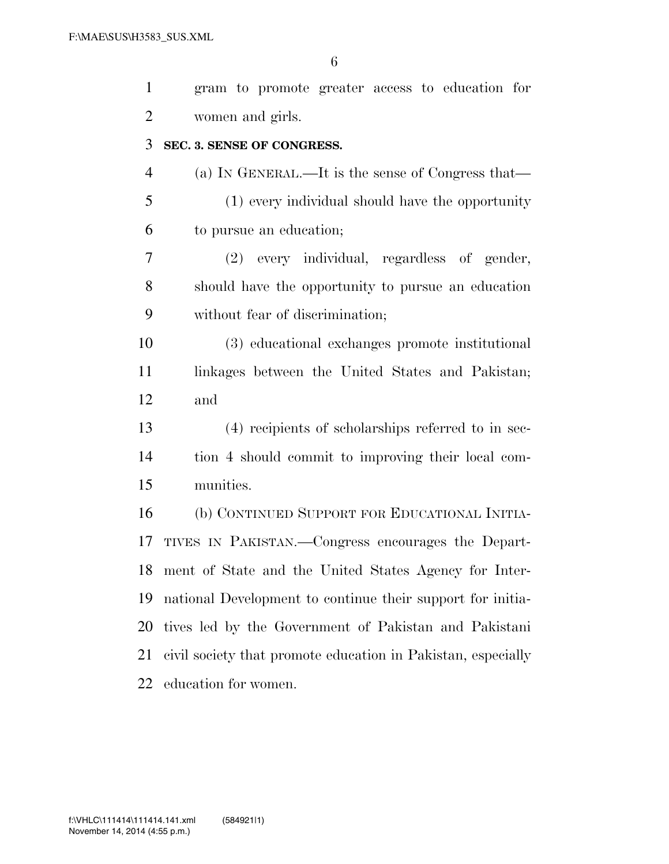| $\mathbf{1}$   | gram to promote greater access to education for              |
|----------------|--------------------------------------------------------------|
| $\overline{2}$ | women and girls.                                             |
| 3              | SEC. 3. SENSE OF CONGRESS.                                   |
| $\overline{4}$ | (a) IN GENERAL.—It is the sense of Congress that—            |
| 5              | (1) every individual should have the opportunity             |
| 6              | to pursue an education;                                      |
| 7              | (2) every individual, regardless of gender,                  |
| 8              | should have the opportunity to pursue an education           |
| 9              | without fear of discrimination;                              |
| 10             | (3) educational exchanges promote institutional              |
| 11             | linkages between the United States and Pakistan;             |
| 12             | and                                                          |
| 13             | (4) recipients of scholarships referred to in sec-           |
| 14             | tion 4 should commit to improving their local com-           |
| 15             | munities.                                                    |
| 16             | (b) CONTINUED SUPPORT FOR EDUCATIONAL INITIA-                |
| 17             | TIVES IN PAKISTAN.—Congress encourages the Depart-           |
|                | 18 ment of State and the United States Agency for Inter-     |
| 19             | national Development to continue their support for initia-   |
| 20             | tives led by the Government of Pakistan and Pakistani        |
| 21             | civil society that promote education in Pakistan, especially |
| 22             | education for women.                                         |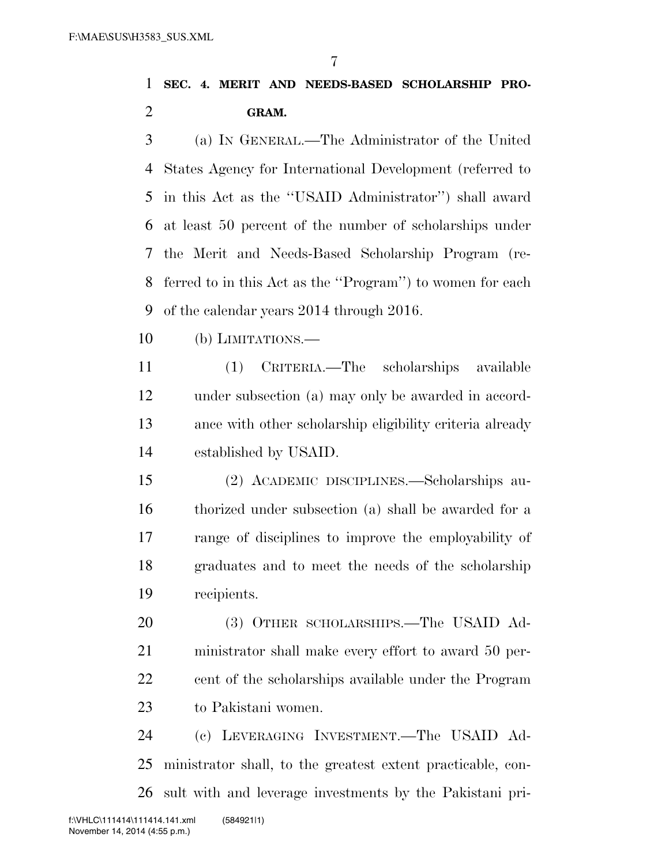## **SEC. 4. MERIT AND NEEDS-BASED SCHOLARSHIP PRO-GRAM.**

 (a) IN GENERAL.—The Administrator of the United States Agency for International Development (referred to in this Act as the ''USAID Administrator'') shall award at least 50 percent of the number of scholarships under the Merit and Needs-Based Scholarship Program (re- ferred to in this Act as the ''Program'') to women for each of the calendar years 2014 through 2016.

(b) LIMITATIONS.—

 (1) CRITERIA.—The scholarships available under subsection (a) may only be awarded in accord- ance with other scholarship eligibility criteria already established by USAID.

 (2) ACADEMIC DISCIPLINES.—Scholarships au- thorized under subsection (a) shall be awarded for a range of disciplines to improve the employability of graduates and to meet the needs of the scholarship recipients.

 (3) OTHER SCHOLARSHIPS.—The USAID Ad- ministrator shall make every effort to award 50 per-22 cent of the scholarships available under the Program to Pakistani women.

 (c) LEVERAGING INVESTMENT.—The USAID Ad- ministrator shall, to the greatest extent practicable, con-sult with and leverage investments by the Pakistani pri-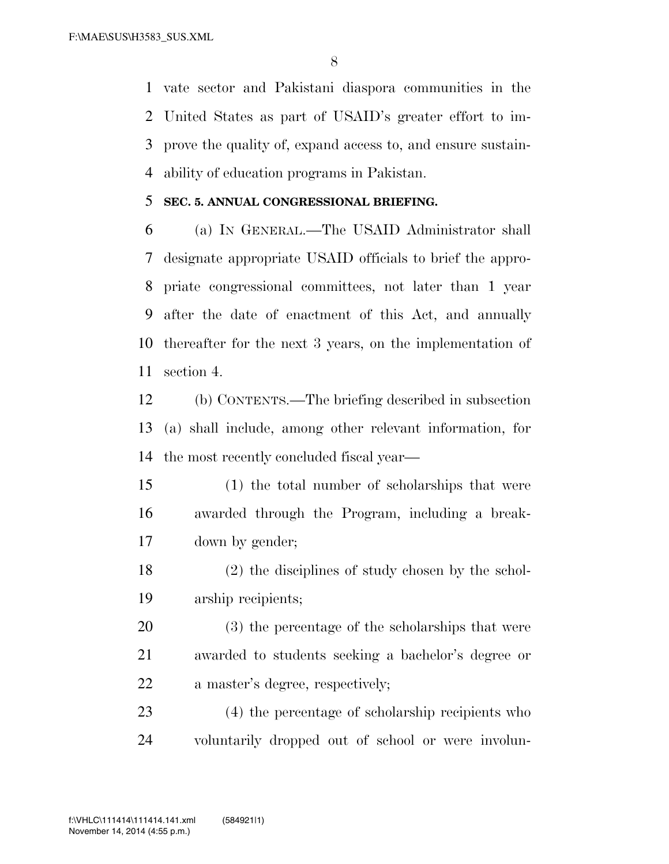vate sector and Pakistani diaspora communities in the United States as part of USAID's greater effort to im- prove the quality of, expand access to, and ensure sustain-ability of education programs in Pakistan.

#### **SEC. 5. ANNUAL CONGRESSIONAL BRIEFING.**

 (a) IN GENERAL.—The USAID Administrator shall designate appropriate USAID officials to brief the appro- priate congressional committees, not later than 1 year after the date of enactment of this Act, and annually thereafter for the next 3 years, on the implementation of section 4.

 (b) CONTENTS.—The briefing described in subsection (a) shall include, among other relevant information, for the most recently concluded fiscal year—

- (1) the total number of scholarships that were awarded through the Program, including a break-down by gender;
- (2) the disciplines of study chosen by the schol-arship recipients;
- (3) the percentage of the scholarships that were awarded to students seeking a bachelor's degree or a master's degree, respectively;
- (4) the percentage of scholarship recipients who voluntarily dropped out of school or were involun-